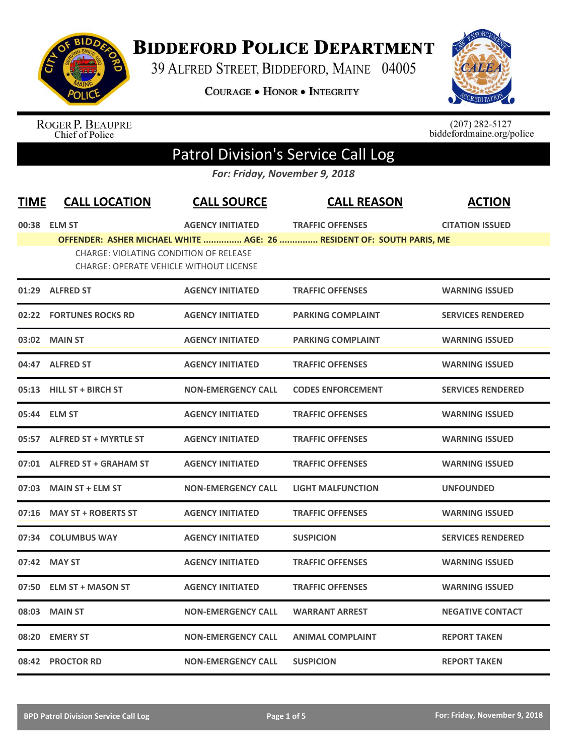

## **BIDDEFORD POLICE DEPARTMENT**

39 ALFRED STREET, BIDDEFORD, MAINE 04005

COURAGE . HONOR . INTEGRITY



ROGER P. BEAUPRE<br>Chief of Police

 $(207)$  282-5127<br>biddefordmaine.org/police

## Patrol Division's Service Call Log

*For: Friday, November 9, 2018*

| <b>TIME</b> | <b>CALL LOCATION</b>                           | <b>CALL SOURCE</b>        | <b>CALL REASON</b>                                                   | <b>ACTION</b>            |
|-------------|------------------------------------------------|---------------------------|----------------------------------------------------------------------|--------------------------|
|             | 00:38 ELM ST                                   | <b>AGENCY INITIATED</b>   | <b>TRAFFIC OFFENSES</b>                                              | <b>CITATION ISSUED</b>   |
|             | <b>CHARGE: VIOLATING CONDITION OF RELEASE</b>  |                           | OFFENDER: ASHER MICHAEL WHITE  AGE: 26  RESIDENT OF: SOUTH PARIS, ME |                          |
|             | <b>CHARGE: OPERATE VEHICLE WITHOUT LICENSE</b> |                           |                                                                      |                          |
|             | 01:29 ALFRED ST                                | <b>AGENCY INITIATED</b>   | <b>TRAFFIC OFFENSES</b>                                              | <b>WARNING ISSUED</b>    |
|             | 02:22 FORTUNES ROCKS RD                        | <b>AGENCY INITIATED</b>   | <b>PARKING COMPLAINT</b>                                             | <b>SERVICES RENDERED</b> |
| 03:02       | <b>MAIN ST</b>                                 | <b>AGENCY INITIATED</b>   | <b>PARKING COMPLAINT</b>                                             | <b>WARNING ISSUED</b>    |
|             | 04:47 ALFRED ST                                | <b>AGENCY INITIATED</b>   | <b>TRAFFIC OFFENSES</b>                                              | <b>WARNING ISSUED</b>    |
|             | 05:13 HILL ST + BIRCH ST                       | <b>NON-EMERGENCY CALL</b> | <b>CODES ENFORCEMENT</b>                                             | <b>SERVICES RENDERED</b> |
|             | 05:44 ELM ST                                   | <b>AGENCY INITIATED</b>   | <b>TRAFFIC OFFENSES</b>                                              | <b>WARNING ISSUED</b>    |
|             | 05:57 ALFRED ST + MYRTLE ST                    | <b>AGENCY INITIATED</b>   | <b>TRAFFIC OFFENSES</b>                                              | <b>WARNING ISSUED</b>    |
|             | 07:01 ALFRED ST + GRAHAM ST                    | <b>AGENCY INITIATED</b>   | <b>TRAFFIC OFFENSES</b>                                              | <b>WARNING ISSUED</b>    |
| 07:03       | <b>MAIN ST + ELM ST</b>                        | <b>NON-EMERGENCY CALL</b> | <b>LIGHT MALFUNCTION</b>                                             | <b>UNFOUNDED</b>         |
| 07:16       | <b>MAY ST + ROBERTS ST</b>                     | <b>AGENCY INITIATED</b>   | <b>TRAFFIC OFFENSES</b>                                              | <b>WARNING ISSUED</b>    |
| 07:34       | <b>COLUMBUS WAY</b>                            | <b>AGENCY INITIATED</b>   | <b>SUSPICION</b>                                                     | <b>SERVICES RENDERED</b> |
|             | 07:42 MAY ST                                   | <b>AGENCY INITIATED</b>   | <b>TRAFFIC OFFENSES</b>                                              | <b>WARNING ISSUED</b>    |
| 07:50       | <b>ELM ST + MASON ST</b>                       | <b>AGENCY INITIATED</b>   | <b>TRAFFIC OFFENSES</b>                                              | <b>WARNING ISSUED</b>    |
| 08:03       | <b>MAIN ST</b>                                 | <b>NON-EMERGENCY CALL</b> | <b>WARRANT ARREST</b>                                                | <b>NEGATIVE CONTACT</b>  |
| 08:20       | <b>EMERY ST</b>                                | <b>NON-EMERGENCY CALL</b> | <b>ANIMAL COMPLAINT</b>                                              | <b>REPORT TAKEN</b>      |
|             | 08:42 PROCTOR RD                               | <b>NON-EMERGENCY CALL</b> | <b>SUSPICION</b>                                                     | <b>REPORT TAKEN</b>      |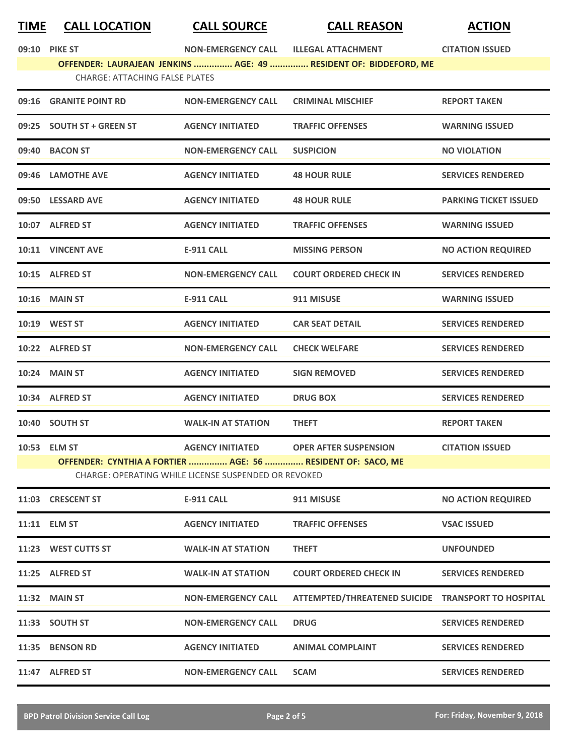## **TIME CALL LOCATION CALL SOURCE CALL REASON ACTION**

| 09:10<br><b>PIKE ST</b> |  |
|-------------------------|--|
|-------------------------|--|

**09:10 PIKE ST NON-EMERGENCY CALL ILLEGAL ATTACHMENT CITATION ISSUED**

**OFFENDER: LAURAJEAN JENKINS ............... AGE: 49 ............... RESIDENT OF: BIDDEFORD, ME** CHARGE: ATTACHING FALSE PLATES

|                                                      | 09:16 GRANITE POINT RD                                      | <b>NON-EMERGENCY CALL</b> | <b>CRIMINAL MISCHIEF</b>                           | <b>REPORT TAKEN</b>          |  |
|------------------------------------------------------|-------------------------------------------------------------|---------------------------|----------------------------------------------------|------------------------------|--|
|                                                      | 09:25 SOUTH ST + GREEN ST                                   | <b>AGENCY INITIATED</b>   | <b>TRAFFIC OFFENSES</b>                            | <b>WARNING ISSUED</b>        |  |
|                                                      | 09:40 BACON ST                                              | <b>NON-EMERGENCY CALL</b> | <b>SUSPICION</b>                                   | <b>NO VIOLATION</b>          |  |
|                                                      | 09:46 LAMOTHE AVE                                           | <b>AGENCY INITIATED</b>   | <b>48 HOUR RULE</b>                                | <b>SERVICES RENDERED</b>     |  |
|                                                      | 09:50 LESSARD AVE                                           | <b>AGENCY INITIATED</b>   | <b>48 HOUR RULE</b>                                | <b>PARKING TICKET ISSUED</b> |  |
|                                                      | 10:07 ALFRED ST                                             | <b>AGENCY INITIATED</b>   | <b>TRAFFIC OFFENSES</b>                            | <b>WARNING ISSUED</b>        |  |
|                                                      | 10:11 VINCENT AVE                                           | <b>E-911 CALL</b>         | <b>MISSING PERSON</b>                              | <b>NO ACTION REQUIRED</b>    |  |
|                                                      | 10:15 ALFRED ST                                             | <b>NON-EMERGENCY CALL</b> | <b>COURT ORDERED CHECK IN</b>                      | <b>SERVICES RENDERED</b>     |  |
|                                                      | <b>10:16 MAIN ST</b>                                        | <b>E-911 CALL</b>         | 911 MISUSE                                         | <b>WARNING ISSUED</b>        |  |
|                                                      | 10:19 WEST ST                                               | <b>AGENCY INITIATED</b>   | <b>CAR SEAT DETAIL</b>                             | <b>SERVICES RENDERED</b>     |  |
|                                                      | 10:22 ALFRED ST                                             | <b>NON-EMERGENCY CALL</b> | <b>CHECK WELFARE</b>                               | <b>SERVICES RENDERED</b>     |  |
|                                                      | <b>10:24 MAIN ST</b>                                        | <b>AGENCY INITIATED</b>   | <b>SIGN REMOVED</b>                                | <b>SERVICES RENDERED</b>     |  |
|                                                      | 10:34 ALFRED ST                                             | <b>AGENCY INITIATED</b>   | <b>DRUG BOX</b>                                    | <b>SERVICES RENDERED</b>     |  |
|                                                      | 10:40 SOUTH ST                                              | <b>WALK-IN AT STATION</b> | <b>THEFT</b>                                       | <b>REPORT TAKEN</b>          |  |
|                                                      | 10:53 ELM ST                                                | <b>AGENCY INITIATED</b>   | <b>OPER AFTER SUSPENSION</b>                       | <b>CITATION ISSUED</b>       |  |
|                                                      | OFFENDER: CYNTHIA A FORTIER  AGE: 56  RESIDENT OF: SACO, ME |                           |                                                    |                              |  |
| CHARGE: OPERATING WHILE LICENSE SUSPENDED OR REVOKED |                                                             |                           |                                                    |                              |  |
|                                                      | 11:03 CRESCENT ST                                           | <b>E-911 CALL</b>         | 911 MISUSE                                         | <b>NO ACTION REQUIRED</b>    |  |
|                                                      | 11:11 ELM ST                                                | <b>AGENCY INITIATED</b>   | <b>TRAFFIC OFFENSES</b>                            | <b>VSAC ISSUED</b>           |  |
|                                                      | 11:23 WEST CUTTS ST                                         | <b>WALK-IN AT STATION</b> | <b>THEFT</b>                                       | <b>UNFOUNDED</b>             |  |
|                                                      | 11:25 ALFRED ST                                             | <b>WALK-IN AT STATION</b> | <b>COURT ORDERED CHECK IN</b>                      | <b>SERVICES RENDERED</b>     |  |
|                                                      | <b>11:32 MAIN ST</b>                                        | <b>NON-EMERGENCY CALL</b> | ATTEMPTED/THREATENED SUICIDE TRANSPORT TO HOSPITAL |                              |  |
|                                                      | 11:33 SOUTH ST                                              | <b>NON-EMERGENCY CALL</b> | <b>DRUG</b>                                        | <b>SERVICES RENDERED</b>     |  |
|                                                      | 11:35 BENSON RD                                             | <b>AGENCY INITIATED</b>   | <b>ANIMAL COMPLAINT</b>                            | <b>SERVICES RENDERED</b>     |  |
|                                                      | 11:47 ALFRED ST                                             | <b>NON-EMERGENCY CALL</b> | <b>SCAM</b>                                        | <b>SERVICES RENDERED</b>     |  |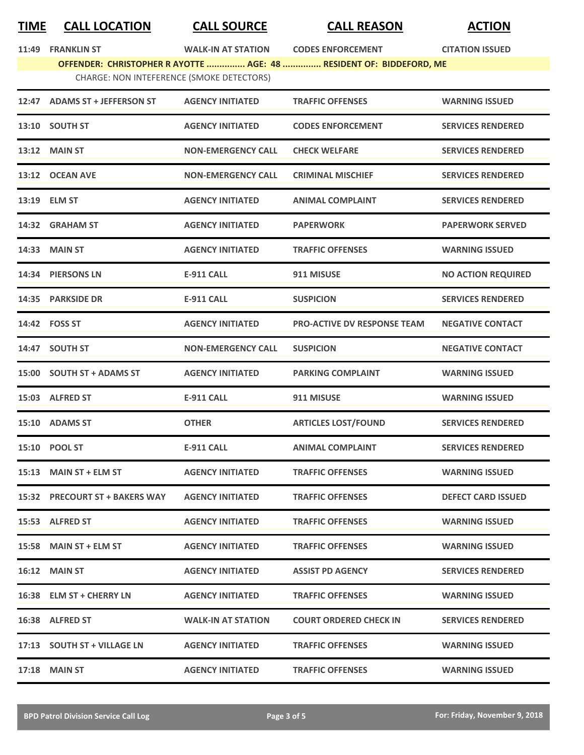## **TIME CALL LOCATION CALL SOURCE CALL REASON ACTION**

**11:49 FRANK-IN AT STATION CODES ENFORCEMENT CITATION** ISSUED

| 11:49 | <b>FRANKLIN ST</b>        |  |
|-------|---------------------------|--|
|       | <b>OFFENDER: CHRISTOI</b> |  |

PHER R AYOTTE ............... AGE: 48 ............... RESIDENT OF: BIDDEFORD, ME CHARGE: NON INTEFERENCE (SMOKE DETECTORS)

| 12:47 | <b>ADAMS ST + JEFFERSON ST</b>  | <b>AGENCY INITIATED</b>   | <b>TRAFFIC OFFENSES</b>            | <b>WARNING ISSUED</b>     |
|-------|---------------------------------|---------------------------|------------------------------------|---------------------------|
|       | 13:10 SOUTH ST                  | <b>AGENCY INITIATED</b>   | <b>CODES ENFORCEMENT</b>           | <b>SERVICES RENDERED</b>  |
|       | <b>13:12 MAIN ST</b>            | <b>NON-EMERGENCY CALL</b> | <b>CHECK WELFARE</b>               | <b>SERVICES RENDERED</b>  |
|       | 13:12 OCEAN AVE                 | <b>NON-EMERGENCY CALL</b> | <b>CRIMINAL MISCHIEF</b>           | <b>SERVICES RENDERED</b>  |
| 13:19 | <b>ELM ST</b>                   | <b>AGENCY INITIATED</b>   | <b>ANIMAL COMPLAINT</b>            | <b>SERVICES RENDERED</b>  |
|       | 14:32 GRAHAM ST                 | <b>AGENCY INITIATED</b>   | <b>PAPERWORK</b>                   | <b>PAPERWORK SERVED</b>   |
| 14:33 | <b>MAIN ST</b>                  | <b>AGENCY INITIATED</b>   | <b>TRAFFIC OFFENSES</b>            | <b>WARNING ISSUED</b>     |
| 14:34 | <b>PIERSONS LN</b>              | <b>E-911 CALL</b>         | 911 MISUSE                         | <b>NO ACTION REQUIRED</b> |
|       | 14:35 PARKSIDE DR               | <b>E-911 CALL</b>         | <b>SUSPICION</b>                   | <b>SERVICES RENDERED</b>  |
|       | 14:42 FOSS ST                   | <b>AGENCY INITIATED</b>   | <b>PRO-ACTIVE DV RESPONSE TEAM</b> | <b>NEGATIVE CONTACT</b>   |
|       | 14:47 SOUTH ST                  | <b>NON-EMERGENCY CALL</b> | <b>SUSPICION</b>                   | <b>NEGATIVE CONTACT</b>   |
|       | 15:00 SOUTH ST + ADAMS ST       | <b>AGENCY INITIATED</b>   | <b>PARKING COMPLAINT</b>           | <b>WARNING ISSUED</b>     |
| 15:03 | <b>ALFRED ST</b>                | <b>E-911 CALL</b>         | 911 MISUSE                         | <b>WARNING ISSUED</b>     |
|       | 15:10 ADAMS ST                  | <b>OTHER</b>              | <b>ARTICLES LOST/FOUND</b>         | <b>SERVICES RENDERED</b>  |
|       | 15:10 POOL ST                   | <b>E-911 CALL</b>         | <b>ANIMAL COMPLAINT</b>            | <b>SERVICES RENDERED</b>  |
| 15:13 | <b>MAIN ST + ELM ST</b>         | <b>AGENCY INITIATED</b>   | <b>TRAFFIC OFFENSES</b>            | <b>WARNING ISSUED</b>     |
| 15:32 | <b>PRECOURT ST + BAKERS WAY</b> | <b>AGENCY INITIATED</b>   | <b>TRAFFIC OFFENSES</b>            | <b>DEFECT CARD ISSUED</b> |
|       | 15:53 ALFRED ST                 | <b>AGENCY INITIATED</b>   | <b>TRAFFIC OFFENSES</b>            | <b>WARNING ISSUED</b>     |
|       | 15:58 MAIN ST + ELM ST          | <b>AGENCY INITIATED</b>   | <b>TRAFFIC OFFENSES</b>            | <b>WARNING ISSUED</b>     |
|       | 16:12 MAIN ST                   | <b>AGENCY INITIATED</b>   | <b>ASSIST PD AGENCY</b>            | <b>SERVICES RENDERED</b>  |
|       | 16:38 ELM ST + CHERRY LN        | <b>AGENCY INITIATED</b>   | <b>TRAFFIC OFFENSES</b>            | <b>WARNING ISSUED</b>     |
|       | 16:38 ALFRED ST                 | <b>WALK-IN AT STATION</b> | <b>COURT ORDERED CHECK IN</b>      | <b>SERVICES RENDERED</b>  |
|       | 17:13 SOUTH ST + VILLAGE LN     | <b>AGENCY INITIATED</b>   | <b>TRAFFIC OFFENSES</b>            | <b>WARNING ISSUED</b>     |
|       | 17:18 MAIN ST                   | <b>AGENCY INITIATED</b>   | <b>TRAFFIC OFFENSES</b>            | <b>WARNING ISSUED</b>     |
|       |                                 |                           |                                    |                           |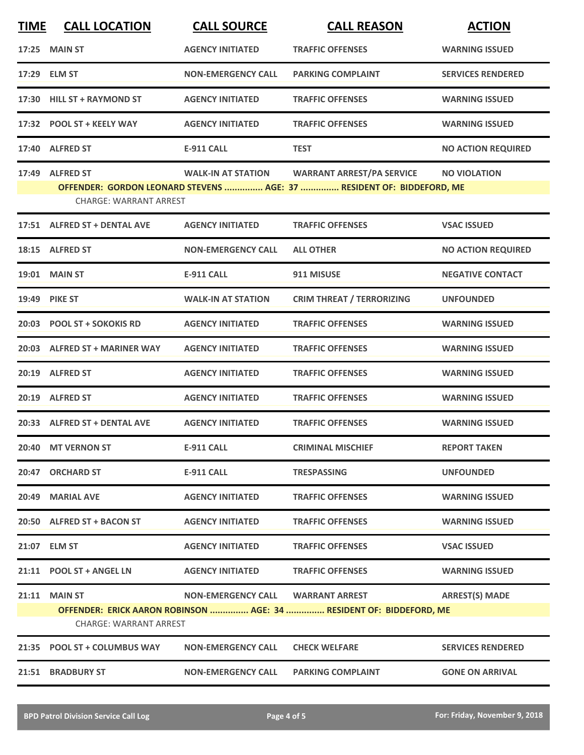| <b>TIME</b> | <b>CALL LOCATION</b>                                  | <b>CALL SOURCE</b>        | <b>CALL REASON</b>                                                                                        | <b>ACTION</b>             |
|-------------|-------------------------------------------------------|---------------------------|-----------------------------------------------------------------------------------------------------------|---------------------------|
|             | <b>17:25 MAIN ST</b>                                  | <b>AGENCY INITIATED</b>   | <b>TRAFFIC OFFENSES</b>                                                                                   | <b>WARNING ISSUED</b>     |
|             | 17:29 ELM ST                                          | <b>NON-EMERGENCY CALL</b> | <b>PARKING COMPLAINT</b>                                                                                  | <b>SERVICES RENDERED</b>  |
| 17:30       | <b>HILL ST + RAYMOND ST</b>                           | <b>AGENCY INITIATED</b>   | <b>TRAFFIC OFFENSES</b>                                                                                   | <b>WARNING ISSUED</b>     |
|             | 17:32 POOL ST + KEELY WAY                             | <b>AGENCY INITIATED</b>   | <b>TRAFFIC OFFENSES</b>                                                                                   | <b>WARNING ISSUED</b>     |
|             | 17:40 ALFRED ST                                       | <b>E-911 CALL</b>         | <b>TEST</b>                                                                                               | <b>NO ACTION REQUIRED</b> |
|             | 17:49 ALFRED ST<br><b>CHARGE: WARRANT ARREST</b>      | <b>WALK-IN AT STATION</b> | <b>WARRANT ARREST/PA SERVICE</b><br>OFFENDER: GORDON LEONARD STEVENS  AGE: 37  RESIDENT OF: BIDDEFORD, ME | <b>NO VIOLATION</b>       |
|             | 17:51 ALFRED ST + DENTAL AVE                          | <b>AGENCY INITIATED</b>   | <b>TRAFFIC OFFENSES</b>                                                                                   | <b>VSAC ISSUED</b>        |
|             | 18:15 ALFRED ST                                       | <b>NON-EMERGENCY CALL</b> | <b>ALL OTHER</b>                                                                                          | <b>NO ACTION REQUIRED</b> |
|             | <b>19:01 MAIN ST</b>                                  | <b>E-911 CALL</b>         | 911 MISUSE                                                                                                | <b>NEGATIVE CONTACT</b>   |
|             | 19:49 PIKE ST                                         | <b>WALK-IN AT STATION</b> | <b>CRIM THREAT / TERRORIZING</b>                                                                          | <b>UNFOUNDED</b>          |
|             | 20:03 POOL ST + SOKOKIS RD                            | <b>AGENCY INITIATED</b>   | <b>TRAFFIC OFFENSES</b>                                                                                   | <b>WARNING ISSUED</b>     |
|             | 20:03 ALFRED ST + MARINER WAY                         | <b>AGENCY INITIATED</b>   | <b>TRAFFIC OFFENSES</b>                                                                                   | <b>WARNING ISSUED</b>     |
|             | 20:19 ALFRED ST                                       | <b>AGENCY INITIATED</b>   | <b>TRAFFIC OFFENSES</b>                                                                                   | <b>WARNING ISSUED</b>     |
|             | 20:19 ALFRED ST                                       | <b>AGENCY INITIATED</b>   | <b>TRAFFIC OFFENSES</b>                                                                                   | <b>WARNING ISSUED</b>     |
|             | 20:33 ALFRED ST + DENTAL AVE                          | <b>AGENCY INITIATED</b>   | <b>TRAFFIC OFFENSES</b>                                                                                   | <b>WARNING ISSUED</b>     |
|             | 20:40 MT VERNON ST                                    | <b>E-911 CALL</b>         | <b>CRIMINAL MISCHIEF</b>                                                                                  | <b>REPORT TAKEN</b>       |
|             | 20:47 ORCHARD ST                                      | <b>E-911 CALL</b>         | <b>TRESPASSING</b>                                                                                        | <b>UNFOUNDED</b>          |
| 20:49       | <b>MARIAL AVE</b>                                     | <b>AGENCY INITIATED</b>   | <b>TRAFFIC OFFENSES</b>                                                                                   | <b>WARNING ISSUED</b>     |
|             | 20:50 ALFRED ST + BACON ST                            | <b>AGENCY INITIATED</b>   | <b>TRAFFIC OFFENSES</b>                                                                                   | <b>WARNING ISSUED</b>     |
|             | 21:07 ELM ST                                          | <b>AGENCY INITIATED</b>   | <b>TRAFFIC OFFENSES</b>                                                                                   | <b>VSAC ISSUED</b>        |
|             | 21:11 POOL ST + ANGEL LN                              | <b>AGENCY INITIATED</b>   | <b>TRAFFIC OFFENSES</b>                                                                                   | <b>WARNING ISSUED</b>     |
|             | <b>21:11 MAIN ST</b><br><b>CHARGE: WARRANT ARREST</b> | <b>NON-EMERGENCY CALL</b> | <b>WARRANT ARREST</b><br>OFFENDER: ERICK AARON ROBINSON  AGE: 34  RESIDENT OF: BIDDEFORD, ME              | <b>ARREST(S) MADE</b>     |
|             | 21:35 POOL ST + COLUMBUS WAY                          | <b>NON-EMERGENCY CALL</b> | <b>CHECK WELFARE</b>                                                                                      | <b>SERVICES RENDERED</b>  |
|             | 21:51 BRADBURY ST                                     | <b>NON-EMERGENCY CALL</b> | <b>PARKING COMPLAINT</b>                                                                                  | <b>GONE ON ARRIVAL</b>    |